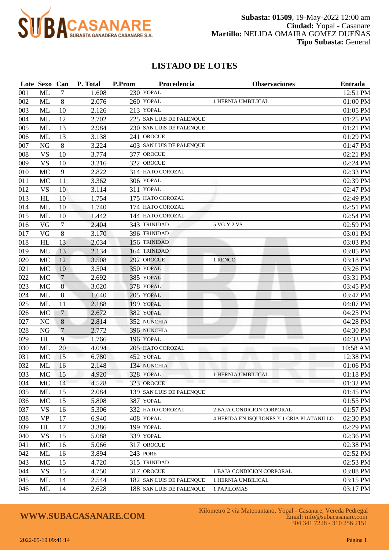

### **LISTADO DE LOTES**

|         | Lote Sexo Can |                | P. Total | P.Prom | Procedencia              | <b>Observaciones</b>                      | <b>Entrada</b> |
|---------|---------------|----------------|----------|--------|--------------------------|-------------------------------------------|----------------|
| 001     | ML            | 7              | 1.608    |        | 230 YOPAL                |                                           | 12:51 PM       |
| 002     | ML            | 8              | 2.076    |        | 260 YOPAL                | 1 HERNIA UMBILICAL                        | 01:00 PM       |
| 003     | ML            | 10             | 2.126    |        | 213 YOPAL                |                                           | 01:05 PM       |
| 004     | ML            | 12             | 2.702    |        | 225 SAN LUIS DE PALENQUE |                                           | 01:25 PM       |
| 005     | ML            | 13             | 2.984    |        | 230 SAN LUIS DE PALENQUE |                                           | 01:21 PM       |
| 006     | <b>ML</b>     | 13             | 3.138    |        | 241 OROCUE               |                                           | 01:29 PM       |
| 007     | <b>NG</b>     | 8              | 3.224    |        | 403 SAN LUIS DE PALENQUE |                                           | 01:47 PM       |
| 008     | <b>VS</b>     | 10             | 3.774    |        | 377 OROCUE               |                                           | 02:21 PM       |
| 009     | <b>VS</b>     | 10             | 3.216    |        | 322 OROCUE               |                                           | 02:24 PM       |
| $010\,$ | MC            | 9              | 2.822    |        | 314 HATO COROZAL         |                                           | 02:33 PM       |
| 011     | MC            | 11             | 3.362    |        | 306 YOPAL                |                                           | 02:39 PM       |
| 012     | <b>VS</b>     | 10             | 3.114    |        | 311 YOPAL                |                                           | 02:47 PM       |
| 013     | HL            | 10             | 1.754    |        | 175 HATO COROZAL         |                                           | 02:49 PM       |
| 014     | ML            | 10             | 1.740    |        | 174 HATO COROZAL         |                                           | 02:51 PM       |
| 015     | ML            | 10             | 1.442    |        | 144 HATO COROZAL         |                                           | 02:54 PM       |
| 016     | VG            | $\tau$         | 2.404    |        | 343 TRINIDAD             | 5 VG Y 2 VS                               | 02:59 PM       |
| 017     | VG            | 8              | 3.170    |        | 396 TRINIDAD             |                                           | 03:01 PM       |
| 018     | HL            | 13             | 2.034    |        | 156 TRINIDAD             |                                           | 03:03 PM       |
| 019     | ML            | 13             | 2.134    |        | 164 TRINIDAD             |                                           | 03:05 PM       |
| 020     | MC            | 12             | 3.508    |        | 292 OROCUE               | 1 RENCO                                   | 03:18 PM       |
| 021     | MC            | 10             | 3.504    |        | 350 YOPAL                |                                           | 03:26 PM       |
| 022     | MC            | $\overline{7}$ | 2.692    |        | 385 YOPAL                |                                           | 03:31 PM       |
| 023     | MC            | 8              | 3.020    |        | 378 YOPAL                |                                           | 03:45 PM       |
| 024     | ML            | 8              | 1.640    |        | 205 YOPAL                |                                           | 03:47 PM       |
| 025     | ML            | 11             | 2.188    |        | 199 YOPAL                |                                           | 04:07 PM       |
| 026     | MC            | 7              | 2.672    |        | 382 YOPAL                |                                           | 04:25 PM       |
| 027     | <b>NC</b>     | 8              | 2.814    |        | 352 NUNCHIA              |                                           | 04:28 PM       |
| 028     | <b>NG</b>     | $\overline{7}$ | 2.772    |        | 396 NUNCHIA              |                                           | 04:30 PM       |
| 029     | HL            | 9              | 1.766    |        | 196 YOPAL                |                                           | 04:33 PM       |
| 030     | ML            | 20             | 4.094    |        | 205 HATO COROZAL         |                                           | 10:58 AM       |
| 031     | MC            | 15             | 6.780    |        | 452 YOPAL                |                                           | 12:38 PM       |
| 032     | ML            | 16             | 2.148    |        | 134 NUNCHIA              |                                           | 01:06 PM       |
| 033     | МC            | 15             | 4.920    |        | 328 YOPAL                | 1 HERNIA UMBILICAL                        | 01:18 PM       |
| 034     | MC            | 14             | 4.528    |        | 323 OROCUE               |                                           | 01:32 PM       |
| 035     | ML            | 15             | 2.084    |        | 139 SAN LUIS DE PALENQUE |                                           | 01:45 PM       |
| 036     | MC            | 15             | 5.808    |        | 387 YOPAL                |                                           | 01:55 PM       |
| 037     | <b>VS</b>     | 16             | 5.306    |        | 332 HATO COROZAL         | 2 BAJA CONDICION CORPORAL                 | 01:57 PM       |
| 038     | <b>VP</b>     | 17             | 6.940    |        | 408 YOPAL                | 4 HERIDA EN ISQUIONES Y 1 CRIA PLATANILLO | 02:30 PM       |
| 039     | HL            | 17             | 3.386    |        | 199 YOPAL                |                                           | 02:29 PM       |
| 040     | <b>VS</b>     | 15             | 5.088    |        | 339 YOPAL                |                                           | 02:36 PM       |
| 041     | MC            | 16             | 5.066    |        | 317 OROCUE               |                                           | 02:38 PM       |
| 042     | ML            | 16             | 3.894    |        | 243 PORE                 |                                           | 02:52 PM       |
| 043     | MC            | 15             | 4.720    |        | 315 TRINIDAD             |                                           | 02:53 PM       |
| 044     | <b>VS</b>     | 15             | 4.750    |        | 317 OROCUE               | 1 BAJA CONDICION CORPORAL                 | 03:08 PM       |
| 045     | ML            | 14             | 2.544    |        | 182 SAN LUIS DE PALENQUE | 1 HERNIA UMBILICAL                        | 03:15 PM       |
| 046     | ML            | 14             | 2.628    |        | 188 SAN LUIS DE PALENQUE | 1 PAPILOMAS                               | 03:17 PM       |

# **WWW.SUBACASANARE.COM**

Kilometro 2 vía Matepantano, Yopal - Casanare, Vereda Pedregal Email: info@subacasanare.com 304 341 7228 - 310 256 2151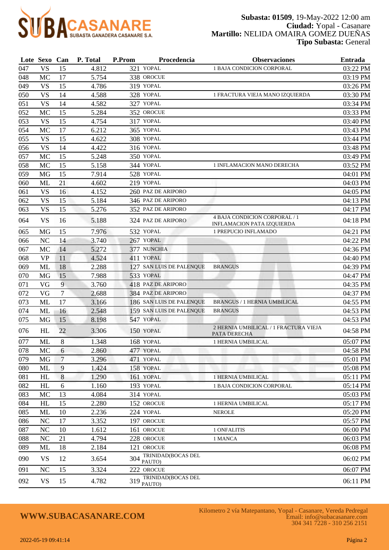

|     | Lote Sexo Can |                 | P. Total | P.Prom | Procedencia                  | <b>Observaciones</b>                                        | <b>Entrada</b> |
|-----|---------------|-----------------|----------|--------|------------------------------|-------------------------------------------------------------|----------------|
| 047 | <b>VS</b>     | 15              | 4.812    |        | 321 YOPAL                    | 1 BAJA CONDICION CORPORAL                                   | 03:22 PM       |
| 048 | MC            | 17              | 5.754    |        | 338 OROCUE                   |                                                             | 03:19 PM       |
| 049 | <b>VS</b>     | 15              | 4.786    |        | 319 YOPAL                    |                                                             | 03:26 PM       |
| 050 | <b>VS</b>     | 14              | 4.588    |        | 328 YOPAL                    | 1 FRACTURA VIEJA MANO IZQUIERDA                             | 03:30 PM       |
| 051 | <b>VS</b>     | 14              | 4.582    |        | 327 YOPAL                    |                                                             | 03:34 PM       |
| 052 | MC            | 15              | 5.284    |        | 352 OROCUE                   |                                                             | 03:33 PM       |
| 053 | <b>VS</b>     | 15              | 4.754    |        | 317 YOPAL                    |                                                             | 03:40 PM       |
| 054 | MC            | 17              | 6.212    |        | 365 YOPAL                    |                                                             | 03:43 PM       |
| 055 | <b>VS</b>     | 15              | 4.622    |        | 308 YOPAL                    |                                                             | 03:44 PM       |
| 056 | <b>VS</b>     | 14              | 4.422    |        | 316 YOPAL                    |                                                             | 03:48 PM       |
| 057 | MC            | 15              | 5.248    |        | 350 YOPAL                    |                                                             | 03:49 PM       |
| 058 | MC            | 15              | 5.158    |        | 344 YOPAL                    | 1 INFLAMACION MANO DERECHA                                  | 03:52 PM       |
| 059 | MG            | 15              | 7.914    |        | 528 YOPAL                    |                                                             | 04:01 PM       |
| 060 | ML            | 21              | 4.602    |        | 219 YOPAL                    |                                                             | 04:03 PM       |
| 061 | <b>VS</b>     | 16              | 4.152    |        | 260 PAZ DE ARIPORO           |                                                             | 04:05 PM       |
| 062 | <b>VS</b>     | 15              | 5.184    |        | 346 PAZ DE ARIPORO           |                                                             | 04:13 PM       |
| 063 | <b>VS</b>     | 15              | 5.276    |        | 352 PAZ DE ARIPORO           |                                                             | 04:17 PM       |
| 064 | <b>VS</b>     | 16              | 5.188    |        | 324 PAZ DE ARIPORO           | 4 BAJA CONDICION CORPORAL / 1<br>INFLAMACION PATA IZQUIERDA | 04:18 PM       |
| 065 | MG            | 15              | 7.976    |        | 532 YOPAL                    | 1 PREPUCIO INFLAMADO                                        | 04:21 PM       |
| 066 | NC            | 14              | 3.740    |        | 267 YOPAL                    |                                                             | 04:22 PM       |
| 067 | MC            | 14              | 5.272    |        | 377 NUNCHIA                  |                                                             | 04:36 PM       |
| 068 | <b>VP</b>     | 11              | 4.524    |        | 411 YOPAL                    |                                                             | 04:40 PM       |
| 069 | ML            | 18              | 2.288    |        | 127 SAN LUIS DE PALENQUE     | <b>BRANGUS</b>                                              | 04:39 PM       |
| 070 | MG            | 15              | 7.988    |        | 533 YOPAL                    |                                                             | 04:47 PM       |
| 071 | VG            | 9               | 3.760    |        | 418 PAZ DE ARIPORO           |                                                             | 04:35 PM       |
| 072 | VG            | 7               | 2.688    |        | 384 PAZ DE ARIPORO           |                                                             | 04:37 PM       |
| 073 | ML            | 17              | 3.166    |        | 186 SAN LUIS DE PALENQUE     | <b>BRANGUS / 1 HERNIA UMBILICAL</b>                         | 04:55 PM       |
| 074 | ML            | 16              | 2.548    |        | 159 SAN LUIS DE PALENQUE     | <b>BRANGUS</b>                                              | 04:53 PM       |
| 075 | MG            | 15              | 8.198    |        | 547 YOPAL                    |                                                             | 04:53 PM       |
| 076 | HL            | 22              | 3.306    |        | 150 YOPAL                    | 2 HERNIA UMBILICAL / 1 FRACTURA VIEJA<br>PATA DERECHA       | 04:58 PM       |
| 077 | ML            | 8               | 1.348    |        | 168 YOPAL                    | 1 HERNIA UMBILICAL                                          | 05:07 PM       |
| 078 | $\rm MC$      | $6\phantom{.}6$ | 2.860    |        | 477 YOPAL                    |                                                             | 04:58 PM       |
| 079 | <b>MG</b>     | 7               | 3.296    |        | 471 YOPAL                    |                                                             | 05:01 PM       |
| 080 | ML            | 9               | 1.424    |        | 158 YOPAL                    |                                                             | 05:08 PM       |
| 081 | HL            | $\,8\,$         | 1.290    |        | 161 YOPAL                    | <b>1 HERNIA UMBILICAL</b>                                   | 05:11 PM       |
| 082 | HL            | 6               | 1.160    |        | 193 YOPAL                    | 1 BAJA CONDICION CORPORAL                                   | 05:14 PM       |
| 083 | MC            | 13              | 4.084    |        | 314 YOPAL                    |                                                             | 05:03 PM       |
| 084 | HL            | 15              | 2.280    |        | 152 OROCUE                   | 1 HERNIA UMBILICAL                                          | 05:17 PM       |
| 085 | ML            | 10              | 2.236    |        | 224 YOPAL                    | <b>NEROLE</b>                                               | 05:20 PM       |
| 086 | NC            | 17              | 3.352    |        | 197 OROCUE                   |                                                             | 05:57 PM       |
| 087 | <b>NC</b>     | 10              | 1.612    |        | 161 OROCUE                   | 1 ONFALITIS                                                 | 06:00 PM       |
| 088 | NC            | 21              | 4.794    |        | 228 OROCUE                   | 1 MANCA                                                     | 06:03 PM       |
| 089 | ML            | 18              | 2.184    |        | 121 OROCUE                   |                                                             | 06:08 PM       |
| 090 | <b>VS</b>     | 12              | 3.654    | 304    | TRINIDAD(BOCAS DEL<br>PAUTO) |                                                             | 06:02 PM       |
| 091 | NC            | 15              | 3.324    |        | 222 OROCUE                   |                                                             | 06:07 PM       |
| 092 | <b>VS</b>     | 15              | 4.782    | 319    | TRINIDAD(BOCAS DEL<br>PAUTO) |                                                             | 06:11 PM       |

# **WWW.SUBACASANARE.COM**